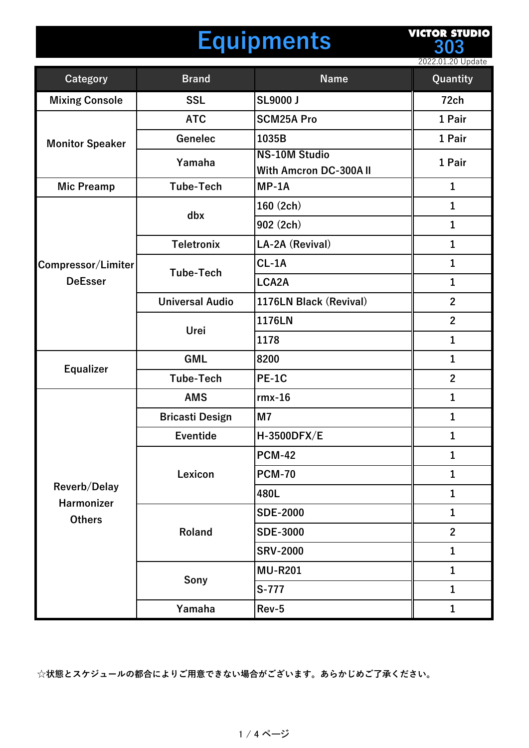## **Equipments**

**VICTOR STUDIO 303**

|                                                    |                        |                                                | 2022.01.20 Update |
|----------------------------------------------------|------------------------|------------------------------------------------|-------------------|
| <b>Category</b>                                    | <b>Brand</b>           | <b>Name</b>                                    | Quantity          |
| <b>Mixing Console</b>                              | <b>SSL</b>             | <b>SL9000 J</b>                                | 72ch              |
| <b>Monitor Speaker</b>                             | <b>ATC</b>             | <b>SCM25A Pro</b>                              | 1 Pair            |
|                                                    | Genelec                | 1035B                                          | 1 Pair            |
|                                                    | Yamaha                 | <b>NS-10M Studio</b><br>With Amcron DC-300A II | 1 Pair            |
| <b>Mic Preamp</b>                                  | <b>Tube-Tech</b>       | $MP-1A$                                        | $\mathbf{1}$      |
|                                                    | dbx                    | 160 (2ch)                                      | $\mathbf{1}$      |
|                                                    |                        | 902 (2ch)                                      | $\mathbf{1}$      |
|                                                    | <b>Teletronix</b>      | LA-2A (Revival)                                | $\mathbf{1}$      |
| Compressor/Limiter                                 | <b>Tube-Tech</b>       | $CL-1A$                                        | $\mathbf 1$       |
| <b>DeEsser</b>                                     |                        | LCA2A                                          | $\mathbf{1}$      |
|                                                    | <b>Universal Audio</b> | 1176LN Black (Revival)                         | $\overline{2}$    |
|                                                    |                        | 1176LN                                         | $\overline{2}$    |
|                                                    | Urei                   | 1178                                           | $\mathbf{1}$      |
|                                                    | <b>GML</b>             | 8200                                           | $\mathbf{1}$      |
| <b>Equalizer</b>                                   | <b>Tube-Tech</b>       | <b>PE-1C</b>                                   | $\overline{2}$    |
|                                                    | <b>AMS</b>             | $rmx-16$                                       | $\mathbf{1}$      |
|                                                    | <b>Bricasti Design</b> | M <sub>7</sub>                                 | $\mathbf{1}$      |
|                                                    | <b>Eventide</b>        | H-3500DFX/E                                    | $\mathbf{1}$      |
|                                                    | Lexicon                | <b>PCM-42</b>                                  | 1                 |
|                                                    |                        | <b>PCM-70</b>                                  | $\mathbf 1$       |
| Reverb/Delay<br><b>Harmonizer</b><br><b>Others</b> |                        | 480L                                           | $\mathbf{1}$      |
|                                                    | Roland                 | <b>SDE-2000</b>                                | $\mathbf{1}$      |
|                                                    |                        | <b>SDE-3000</b>                                | $\overline{2}$    |
|                                                    |                        | <b>SRV-2000</b>                                | 1                 |
|                                                    | Sony                   | <b>MU-R201</b>                                 | $\mathbf 1$       |
|                                                    |                        | S-777                                          | $\mathbf{1}$      |
|                                                    | Yamaha                 | Rev-5                                          | $\mathbf{1}$      |

**☆状態とスケジュールの都合によりご⽤意できない場合がございます。あらかじめご了承ください。**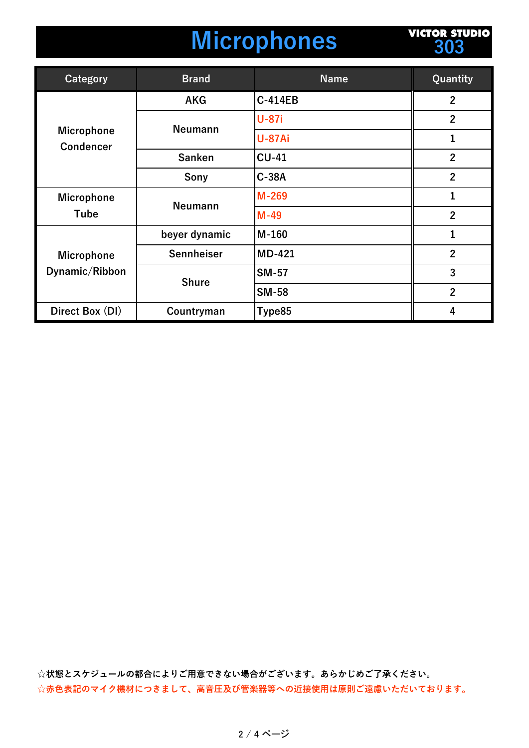## **Microphones**

**VICTOR STUDIO 303**

| Category                              | <b>Brand</b>   | <b>Name</b>    | Quantity       |
|---------------------------------------|----------------|----------------|----------------|
| <b>Microphone</b><br><b>Condencer</b> | <b>AKG</b>     | <b>C-414EB</b> | $\mathbf{2}$   |
|                                       | <b>Neumann</b> | <b>U-87i</b>   | $\overline{2}$ |
|                                       |                | <b>U-87Ai</b>  | 1              |
|                                       | <b>Sanken</b>  | <b>CU-41</b>   | $\overline{2}$ |
|                                       | Sony           | $C-38A$        | $\overline{2}$ |
| <b>Microphone</b><br>Tube             | <b>Neumann</b> | $M-269$        | 1              |
|                                       |                | $M-49$         | $\overline{2}$ |
| <b>Microphone</b><br>Dynamic/Ribbon   | beyer dynamic  | $M-160$        | $\mathbf{1}$   |
|                                       | Sennheiser     | <b>MD-421</b>  | $\overline{2}$ |
|                                       | <b>Shure</b>   | <b>SM-57</b>   | 3              |
|                                       |                | <b>SM-58</b>   | $\overline{2}$ |
| Direct Box (DI)                       | Countryman     | Type85         | 4              |

**☆状態とスケジュールの都合によりご⽤意できない場合がございます。あらかじめご了承ください。** ☆赤色表記のマイク機材につきまして、高音圧及び管楽器等への近接使用は原則ご遠慮いただいております。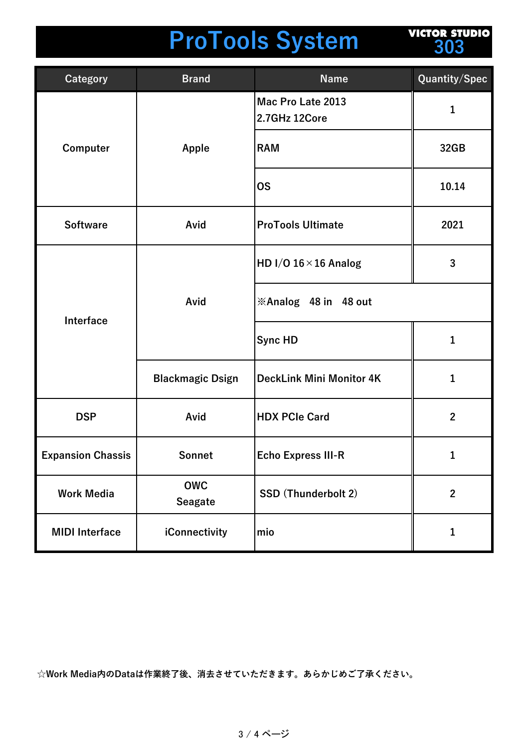## **ProTools System**

**VICTOR STUDIO 303**

| <b>Category</b>          | <b>Brand</b>                 | <b>Name</b>                        | Quantity/Spec  |
|--------------------------|------------------------------|------------------------------------|----------------|
| Computer                 | Apple                        | Mac Pro Late 2013<br>2.7GHz 12Core | 1              |
|                          |                              | <b>RAM</b>                         | 32GB           |
|                          |                              | <b>OS</b>                          | 10.14          |
| <b>Software</b>          | Avid                         | <b>ProTools Ultimate</b>           | 2021           |
| Interface                | Avid                         | HD I/O $16 \times 16$ Analog       | 3              |
|                          |                              | <b>※Analog 48 in 48 out</b>        |                |
|                          |                              | <b>Sync HD</b>                     | 1              |
|                          | <b>Blackmagic Dsign</b>      | <b>DeckLink Mini Monitor 4K</b>    | 1              |
| <b>DSP</b>               | Avid                         | <b>HDX PCIe Card</b>               | $\mathbf{2}$   |
| <b>Expansion Chassis</b> | Sonnet                       | <b>Echo Express III-R</b>          | 1              |
| <b>Work Media</b>        | <b>OWC</b><br><b>Seagate</b> | <b>SSD (Thunderbolt 2)</b>         | $\overline{2}$ |
| <b>MIDI</b> Interface    | iConnectivity                | mio                                | 1              |

**☆Work Media内のDataは作業終了後、消去させていただきます。あらかじめご了承ください。**